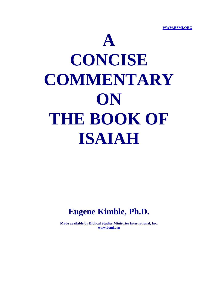**WWW.BSMI.ORG** 



## **Eugene Kimble, Ph.D.**

**Made available by Biblical Studies Ministries International, Inc. www.bsmi.org**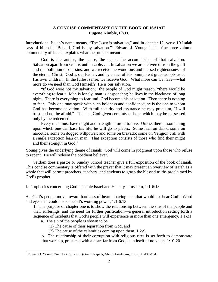## **A CONCISE COMMENTARY ON THE BOOK OF ISAIAH Eugene Kimble, Ph.D.**

Introduction: Isaiah's name means, "The LORD is salvation," and in chapter 12, verse 10 Isaiah says of himself, "Behold, God is my salvation." Edward J. Young, in his fine three-volume commentary of Isaiah, explains what the prophet meant:

 God is the author, the cause, the agent, the accomplisher of that salvation. Salvation apart from God is unthinkable. . . . In salvation we are delivered from the guilt and the pollution of our sins, and we receive the wondrous and blessed righteousness of the eternal Christ. God is our Father, and by an act of His omnipotent grace adopts us as His own children. In the fullest sense, we receive God. What more can we have—what more do we need than God Himself? He is our salvation.

 "If God were not my salvation," the people of God might reason, "there would be everything to fear." Man is lonely, man is despondent; he lives in the blackness of long night. There is everything to fear until God become his salvation. Then there is nothing to fear. Only one may speak with such boldness and confidence; he is the one to whom God has become salvation. With full security and assurance he may proclaim, "I will trust and not be afraid." This is a God-given certainty of hope which may be possessed only by the redeemed.

 Every man must have might and strength in order to live. Unless there is something upon which one can base his life, he will go to pieces. Some lean on drink; some on narcotics, some on dogged willpower; and some on bravado; some on 'religion'; all with a single exception lean on man. That exception consists of those who find their might and their strength in  $God.$ <sup>1</sup>

Young gives the underlying theme of Isaiah: God will come in judgment upon those who refuse to repent. He will redeem the obedient believer.

 Seldom does a pastor or Sunday School teacher give a full exposition of the book of Isaiah. This concise commentary is offered with the prayer that it may present an overview of Isaiah as a whole that will permit preachers, teachers, and students to grasp the blessed truths proclaimed by God's prophet.

I. Prophecies concerning God's people Israel and His city Jerusalem, 1:1-6:13

A. God's people move toward hardness of heart—having ears that would not hear God's Word and eyes that could not see God's working power, 1:1-6:13

1. The purpose of chapter one is to show the relationship between the sins of the people and their sufferings, and the need for further purification—a general introduction setting forth a sequence of incidents that God's people will experience in more than one emergency, 1:1-31

- a. The sin of the people is shown to be
	- (1) The cause of their separation from God, and
	- (2) The cause of the calamities coming upon them, 1:2-9

b. The relationship of their corruption with religious rites is set forth to demonstrate that worship, practiced with a heart far from God, is in itself of no value, 1:10-20

 1 Edward J. Young, *The Book of Isaiah* (Grand Rapids, Mich.: Eerdmans, 1965), I, 403-404.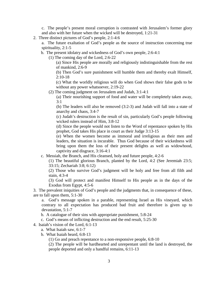c. The people's present moral corruption is contrasted with Jerusalem's former glory and also with her future when the wicked will be destroyed, 1:21-31

2. Three distinct pictures of God's people, 2:1-4:6

a. The future exaltation of God's people as the source of instruction concerning true spirituality, 2:1-5

b. The present idolatry and wickedness of God's own people, 2:6-4:1

(1) The coming day of the Lord, 2:6-22

(a) Since His people are morally and religiously indistinguishable from the rest of mankind, 2:6-9

(b) Then God's sure punishment will humble them and thereby exalt Himself,  $2:10-18$ 

(c) What the worldly religious will do when God shows their false gods to be without any power whatsoever, 2:19-22

(2) The coming judgment on Jerusalem and Judah, 3:1-4:1

(a) Their nourishing support of food and water will be completely taken away, 3:1

(b) The leaders will also be removed (3:2-3) and Judah will fall into a state of anarchy and chaos, 3:4-7

(c) Judah's destruction is the result of sin, particularly God's people following wicked rulers instead of Him, 3:8-12

(d) Since the people would not listen to the Word of repentance spoken by His prophet, God takes His place in court as their Judge 3:13-15

(e) When the women become as immoral and irreligious as their men and leaders, the situation is incurable. Thus God because of their wickedness will bring upon them the loss of their present delights as well as widowhood, captivity and disgrace, 3:16-4:1

c. Messiah, the Branch, and His cleansed, holy and future people, 4:2-6

(1) The beautiful glorious Branch, planted by the Lord, 4:2 (See Jeremiah 23:5; 33:15; Zechariah 3:8; 6:12)

(2) Those who survive God's judgment will be holy and free from all filth and stain, 4:3-4

(3) God will protect and manifest Himself to His people as in the days of the Exodus from Egypt, 4:5-6

3. The prevalent iniquities of God's people and the judgments that, in consequence of these, are to fall upon them, 5:1-30

a. God's message spoken in a parable, representing Israel as His vineyard, which contrary to all expectation has produced bad fruit and therefore is given up to devastation, 5:1-7

b. A catalogue of their sins with appropriate punishment, 5:8-24

c. God's means of inflicting destruction and the end result, 5:25-30

4. Isaiah's vision of the Lord, 6:1-13

- a. What Isaiah saw, 6:1-7
- b. What Isaiah heard, 6:8-13

(1) Go and preach repentance to a non-responsive people, 6:8-10

(2) The people will be hardhearted and unrepentant until the land is destroyed, the people deported and only a handful remains, 6:11-13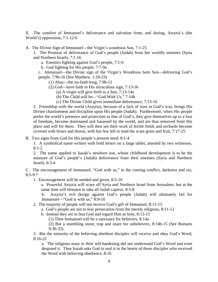II. The comfort of Immanuel's deliverance and salvation from, and during, Assyria's (the World's) oppression, 7:1-12:6

A. The Divine Sign of Immanuel—the Virgin's wondrous Son, 7:1-25

1. The Promise of deliverance of God's people (Judah) from her worldly enemies (Syria and Northern Israel), 7:1-16

a. Enemies fighting against God's people, 7:1-6

b. God fighting for His people, 7:7-9a

c. Immanuel—the Divine sign of the Virgin's Wondrous born Son—delivering God's people, 7:9b-16 (See Matthew. 1:18-23)

- (1) Ahaz—the no-faith-king, 7:9b-12
- (2) God—have faith in His miraculous sign, 7:13-16

(a) A virgin will give birth to a Son, 7:13-14a

- (b) The Child will be—"God With Us," 7:14b
- (c) The Divine Child gives immediate deliverance, 7:15-16

2. Friendship with the world (Assyria), because of a lack of trust in God's way, brings His Divine chastisement and discipline upon His people (Judah). Furthermore, when His people prefer the world's presence and protection to that of God's, they give themselves up to a loss of freedom, become dominated and harassed by the world, and are thus removed from His place and will for them. They will then see their work of fertile fields and orchards become covered with briars and thorns, with but few left to tend the scant grain and fruit, 7:17-25

B. Two signs from God for His people's present need, 8:1-4

1. A symbolical name written with bold letters on a large tablet, attested by two witnesses, 8:1-2

2. The name applied to Isaiah's newborn son, whose childhood development is to be the measure of God's people's (Judah) deliverance from their enemies (Syria and Northern Israel), 8:3-4

C. The encouragement of Immanuel, "God with us," in the coming conflict, darkness and sin, 8:5-9:7

1. Encouragement will be needed and given, 8:5-10

a. Powerful Assyria will scare off Syria and Northern Israel from Jerusalem, but at the same time will threaten to take all Judah captive, 8:5-8

b. Assyria's evil design against God's people (Judah) will ultimately fail for Immanuel—"God is with us," 8:9-10

- 2. The majority of people will not receive God's gift of Immanuel, 8:11-15
	- a. God's people are not to fear persecution from the merely religious, 8:11-12
	- b. Instead they are to fear God and regard Him as holy, 8:13-15

(1) Then Immanuel will be a sanctuary for believers, 8:14a

(2) But a stumbling stone, trap and snare for unbelievers, 8:14b-15 (See Romans 9:30-33)

3. But the minority of the believing obedient disciples will receive and obey God's Word, 8:16-22

a. The religious mass in their self-hardening did not understand God's Word and even despised it. Thus Isaiah asks God to seal it in the hearts of those disciples who received the Word with believing obedience, 8:16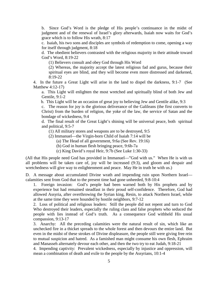b. Since God's Word is the pledge of His people's continuance in the midst of judgment and of the renewal of Israel's glory afterwards, Isaiah now waits for God's grace which is to follow His wrath, 8:17

c. Isaiah, his two sons and disciples are symbols of redemption to come, opening a way for itself through judgment, 8:18

d. The obedient believers contrasted with the religious majority in their attitude toward God's Word, 8:19-22

(1) Believers consult and obey God through His Word

(2) Whereas, the majority accept the latest religious fad and gurus, because their spiritual eyes are blind, and they will become even more distressed and darkened,  $8:19-22$ 

4. In the future a Great Light will arise in the land to dispel the darkness, 9:1-7 (See Matthew 4:12-17)

a. This Light will enlighten the most wretched and spiritually blind of both Jew and Gentile, 9:1-2

b. This Light will be an occasion of great joy to believing Jew and Gentile alike, 9:3

c. The reason for joy is the glorious deliverance of the Galileans (the first converts to Christ) from the burden of religion, the yoke of the law, the service of Satan and the bondage of wickedness, 9:4

d. The final result of the Great Light's shining will be universal peace, both spiritual and political, 9:5-7

(1) All military stores and weapons are to be destroyed, 9:5

(2) Immanuel—the Virgin-born Child of Isaiah 7:14 will be

(a) The Head of all government, 9:6a (See Rev. 19:16)

(b) God in human flesh bringing peace, 9:6b-7a

(c) King David's royal Heir, 9:7b (See Luke 1:30-33)

(All that His people need God has provided in Immanuel—"God with us." When He is with us all problems will be taken care of, joy will be increased (9:3), and gloom and despair and wretchedness will give way to enlightenment and peace. May He in truth be with us.)

D. A message about accumulated Divine wrath and impending ruin upon Northern Israel calamities sent from God that to the present time had gone unheeded, 9:8-10:4

1. Foreign invasion: God's people had been warned both by His prophets and by experience but had remained steadfast in their proud self-confidence. Therefore, God had allowed Assyria, after overthrowing the Syrian king, Resin, to attack Northern Israel, while at the same time they were hounded by hostile neighbors, 9:7-12

2. Loss of political and religious leaders: Still the people did not repent and turn to God Who destroyed their leaders, especially the ruling class and false prophets who seduced the people with lies instead of God's truth. As a consequence God withheld His usual compassion, 9:13-17

3. Anarchy: All the preceding calamities were the natural result of sin, which like an unchecked fire in a thicket spreads to the whole forest and then devours the entire land. But even in the midst of these strokes of Divine displeasure, the people still were giving free rein to mutual suspicion and hatred. As a famished man might consume his own flesh, Ephraim and Manasseh alternately devour each other, and then the two try to eat Judah, 9:18-21

4. Impending captivity: Prevalent wickedness, especially by injustice and oppression, will mean a combination of death and exile to the people by the Assyrians, 10:1-4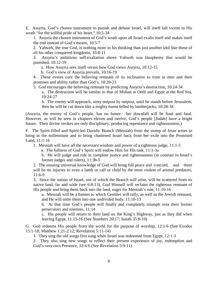E. Assyria, God's chosen instrument to punish and debase Israel, will itself fall victim to His wrath "for the willful pride of his heart," 10:5-34

1. Assyria the chosen instrument of God's wrath upon all Israel exalts itself and makes itself the end instead of God's means, 10:5-7

2. Yahweh, the true God, is nothing more in his thinking than just another idol like those of all his other conquered kingdoms, 10:8-11

3. Assyria's ambitious self-exaltation above Yahweh was blasphemy that would be punished, 10:12-19

a. How Assyria sees itself versus how God views Assyria, 10:12-15

b. God's view of Assyria prevails, 10:16-19

4. These events cure the believing remnant of its inclination to trust in men and their promises and ability rather than God's, 10:20-23

5. God encourages the believing remnant by predicting Assyria's destruction, 10:24-34

a. The destruction will be similar to that of Midian at Oreb and Egypt at the Red Sea, 10:24-27

b. The enemy will approach, army outpost by outpost, until he stands before Jerusalem, then he will be cut down like a mighty forest felled by lumberjacks, 10:28-34

(Assyria, the enemy of God's people, has no future: her downfall will be final and fatal. However, as will be seen in chapters eleven and twelve, God's people [Judah] have a bright future. Their divine strokes are only disciplinary, producing repentance and righteousness.)

F. The Spirit-filled and Spirit-led Davidic Branch (Messiah) from the stump of Jesse arises to bring in the millennium and to bring chastened Israel back from her exile into the Promised Land, 11:1-16

1. Messiah will have all the necessary wisdom and power of a righteous judge, 11:1-5

a. The fullness of God's Spirit will endow Him for His task, 11:1-3a

b. He will judge and rule in complete justice and righteousness (in contrast to Israel's former judges and rulers), 11:3b-5

 2. The ensuing universal knowledge of God will bring full peace and concord, and there will be no injuries to even a lamb or calf or child by the most violent of animal predators, 11:6-9

3. Since the nation of Israel, out of which the Branch will arise, will be scattered from its native land, far and wide (see 6:8-13), God Himself will reclaim the righteous remnant of His people and bring them back into the land, eager for Messiah's rule, 11:10-16

a. Messiah will be a banner to which Gentiles will rally, as well as the Jewish remnant, and He will unite them into one undivided body, 11:10-13

b. At that time God's people will finally and completely triumph over their former persecutors and enemies, 11:14

c. His people will return to their land on the King's Highway, just as they did when leaving Egypt, 11:15-16 (See Numbers 20:17; Isaiah 35:8-10)

G. God redeems His people from the world for the purpose of worship, 12:1-6 (See Exodus 15:1-18; Matthew 1:21-2:12; Revelation 5:11-14)

1. They sing the old songs first sung when Israel was redeemed from Egypt, 12:1-3

2. They also sing new songs to reflect their present experience of joy, redemption and God's very own Presence, 12:4-6 (See Revelation 5:9-11)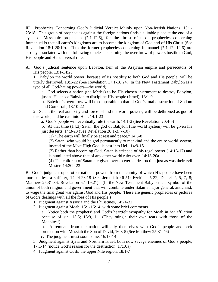III. Prophecies Concerning God's Judicial Verdict Mainly upon Non-Jewish Nations, 13:1- 23:18. This group of prophecies against the foreign nations finds a suitable place at the end of a cycle of Messianic prophecies (7:1-12:6), for the thrust of those prophecies concerning Immanuel is that all earth's kingdoms are to become the kingdom of God and of His Christ (See Revelation 18:1-20:10). Thus the former prophecies concerning Immanuel (7:1-12; 12:6) are closely associated with the following oracles concerning the overthrow of powers hostile to God, His people and His universal rule.

A. God's judicial sentence upon Babylon, heir of the Assyrian empire and persecutors of His people, 13:1-14:23

1. Babylon the world power, because of its hostility to both God and His people, will be utterly destroyed, 13:1-22 (See Revelation 17:1-18:24. In the New Testament Babylon is a type of all God-hating powers—the world).

a. God selects a nation (the Medes) to be His chosen instrument to destroy Babylon, just as He chose Babylon to discipline His people (Israel), 13:1-9

b. Babylon's overthrow will be comparable to that of God's total destruction of Sodom and Gomorrah, 13:10-22

2. Satan, the real authority and force behind the world powers, will be dethroned as god of this world, and be cast into Hell, 14:1-23

a. God's people will eventually rule the earth, 14:1-2 (See Revelation 20:4-6)

b. At that time (14:3) Satan, the god of Babylon (the world system) will be given his just desserts, 14:3-23 (See Revelation 20:1-3, 7-10)

(1) "The earth will finally be at rest and peace," 14:3-8

(2) Satan, who would be god permanently to mankind and the entire world system, instead of the Most High God, is cast into Hell, 14:9-15

(3) Rather than becoming God, Satan is stripped of his regal power (14:16-17) and is humiliated above that of any other world ruler ever, 14:18-20a

(4) The children of Satan are given over to eternal destruction just as was their evil Master, 14:20b-23

B. God's judgment upon other national powers from the enmity of which His people have been more or less a sufferer, 14:24-23:18 (See Jeremiah 46-51; Ezekiel 25-32; Daniel 2, 5, 7, 8; Matthew 25:31-36; Revelation 6:1-19:21). (In the New Testament Babylon is a symbol of the union of both religion and government that will combine under Satan's major general, antichrist, to wage the final great war against God and His people. These are generic prophecies or pictures of God's dealings with all the foes of His people.)

- 1. Judgment against Assyria and the Philistines, 14:24-32
- 2. Judgment against Moab, 15:1-16:14, with some brief comments

a. Notice both the prophets' and God's heartfelt sympathy for Moab in her affliction because of sin, 15:5; 16:9,11. (They mingle their own tears with those of the Moabites!)

b. A remnant from the nation will ally themselves with God's people and seek protection with Messiah the Son of David, 16:3-5 (See Matthew 25:31-46)

c. The judgment must soon come, 16:13-14

3. Judgment against Syria and Northern Israel, both now savage enemies of God's people,

17:1-14 (notice God's reason for the destruction, 17:10a)

4. Judgment against Cush, the upper Nile region, 18:1-7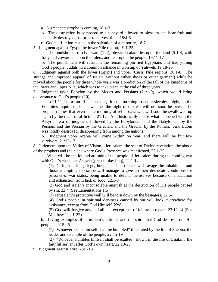a. A great catastrophe is coming, 18:1-3

b. The destruction is compared to a vineyard allowed to blossom and bear fruit and suddenly destroyed just prior to harvest time, 18:4-6

c. God's affliction results in the salvation of a minority, 18:7

5. Judgment against Egypt, the lower Nile region, 19:1-25

a. The punishment of civil wars (1-4), physical calamities upon the land (5-10), with folly and cowardice upon the rulers, and fear upon the people, 19:11-17

b. The punishment will result in the remaining purified Egyptians and Iraq joining God's people (Judah) in a common alliance in worship of Yahweh, 19:18-25

6. Judgment against both the lower (Egypt) and upper (Cush) Nile regions, 20:1-6. The strange and improper apparel of Isaiah (without either shoes or outer garment) while he moved about the people for three whole years was a prediction of the fall of the kingdoms of the lower and upper Nile, which was to take place at the end of three years.

7. Judgment upon Babylon by the Medes and Persians (21:1-9), which would bring deliverance to God's people (10)

a. In 21:11 just as an ill person longs for the morning to end a sleepless night, so the Edomites inquire of Isaiah whether the night of distress will not soon be over. The prophet replies that even if the morning of relief dawns, it will soon be swallowed up again by the night of affliction, 21:12. And historically this is what happened with the Assyrian era of judgment followed by the Babylonian, and the Babylonian by the Persian, and the Persian by the Grecian, and the Grecian by the Roman. And Edom was totally destroyed, disappearing from among the nations.

b. Judgment upon Arabia will come within on year, and there will be but few survivors, 21:13-17

8. Judgment upon the Valley of Vision—Jerusalem, the seat of Divine revelation, the abode of the prophets and the place where God's Presence was manifested, 22:1-25

a. What will be the lot and attitude of the people of Jerusalem during the coming war with God's chastiser, Assyria (present-day Iraq), 22:1-14

(1) During the long siege, hunger and pestilence will ravage the inhabitants and those attempting to escape will manage to give up their desperate conditions for prisoner-of-war status, being unable to defend themselves because of emaciation and exhaustion from lack of food, 22:1-3

(2) God and Isaiah's inconsolable anguish at the destruction of His people caused by sin, 22:4 (See Lamentations 1:5)

(3) Jerusalem's protective wall will be torn down by the besiegers, 22:5-7

(4) God's people in spiritual darkness caused by sin will look everywhere for assistance, except from God Himself, 22:8-11

(5) God will forgive any and all sin, except that of failure to repent, 22:12-14 (See Matthew 11:21-22)

b. Living examples of Jerusalem's attitude and the spirit that God desires from His people, 22:15-25

(1) "Whoever exalts himself shall be humbled" illustrated by the life of Shebna, the leader and example of the people, 22:15-19

(2) "Whoever humbles himself shall be exalted" shown in the life of Eliakim, the faithful servant after God's own heart, 22:20-25

9. Judgment against Tyre, 23:1-18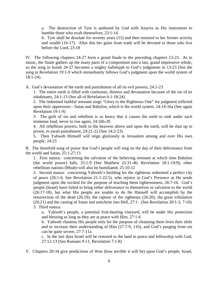a. The destruction of Tyre is authored by God with Assyria as His instrument to humble those who exalt themselves, 23:1-14

b. Tyre shall be desolate for seventy years (15) and then restored to her former activity and wealth (16-17). After this her gains from trade will be devoted to those who live before the Lord, 23:18

IV. The following chapters 24-27 form a grand finale to the preceding chapters 13-23. As in music, the finale gathers up the many parts of a composition into a last, grand impressive whole, so the song in Isaiah 24-27 becomes a mighty hallelujah to God's judgments in 13-23 (See the song in Revelation 19:1-9 which immediately follows God's judgment upon the world system of 18:1-24).

A. God's devastation of the earth and punishment of all its evil powers, 24:1-23

1. The entire earth is filled with confusion, distress and devastation because of the sin of its inhabitants, 24:1-13 (See all of Revelation 6:1-18:24)

2. The redeemed faithful remnant sings "Glory to the Righteous One" for judgment inflicted upon their oppressors—Satan and Babylon, which is the world system, 24:14-16a (See again Revelation 19:1-9)

3. The guilt of sin and rebellion is so heavy that it causes the earth to sink under such immense load, never to rise again, 24:16b-20

4. All rebellious powers, both in the heavens above and upon the earth, will be shut up in prison, to await punishment, 24:21-22 (See 14:2-23)

5. Then Yahweh Himself will reign gloriously in Jerusalem among and over His own people, 24:23

B. The threefold song of praise that God's people will sing on the day of their deliverance from the world and Satan, 25:1-27:13

1. First stanza: concerning the salvation of the believing remnant at which time Babylon (the world power) falls, 25:1-9 (See Matthew 25:31-46; Revelation 18:1-19:9); other rebellious nations (Moab) will also be humiliated, 25:10-12

2. Second stanza: concerning Yahweh's building for the righteous redeemed a perfect city of peace (26:1-6. See Revelation 21:1-22:5), who rejoice in God's Presence as He sends judgment upon the wicked for the purpose of teaching them righteousness, 26:7-16. God's people (Israel) have failed to bring either deliverance to themselves or salvation to the world (26:17-18), but what His people are unable to do He Himself will accomplish by the resurrection of the dead (26:19), the rapture of the righteous (26:20), the great tribulation (26:21) and the casting of Satan and antichrist into Hell, 27:1. (See Revelation 20:1-3, 7-10) 3. Third stanza:

a. Yahweh's people, a potential fruit-bearing vineyard, will be under His protection and blessing as long as they are at peace with Him, 27:1-6

b. Yahweh chastens His people only for the purpose of cleansing them from their idols and to increase their understanding of Him (27:7-9, 11b), and God's purging from sin can be quite severe, 27:7-11a

c. In the last days Israel will be restored to the land in peace and fellowship with God, 27:12-13 (See Romans 9-11, Revelation 7:1-8)

V. Chapters 28-34 give predictions of Woe (how terrible it will be) upon God's people, Israel,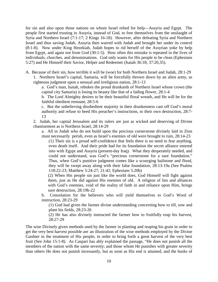for sin and also upon those nations on whom Israel relied for help—Assyria and Egypt. The people first started trusting in Assyria, instead of God, to free themselves from the onslaught of Syria and Northern Israel (7:1-17; 2 Kings 16-18). However, after defeating Syria and Northern Israel and thus saving Judah, Assyria then warred with Judah and brought her under its control (8:1-8). Now under King Hezekiah, Judah hopes to rid herself of the Assyrian yoke by help from Egypt, and again not from God (30:1-5). How often this mistake is repeated in the lives of individuals, churches, and denominations. God only wants for His people to be clean (Ephesians 5:27) and He Himself their Savior, Helper and Redeemer (Isaiah 36:18; 37:20,35).

A. Because of their sin, how terrible it will be (woe) for both Northern Israel and Judah, 28:1-29 1. Northern Israel's capital, Samaria, will be forcefully thrown down by an alien army, as

righteous judgment upon a sensual and irreligious nation, 28:1-13

a. God's man, Isaiah, rebukes the proud drunkards of Northern Israel whose crown (the capital city Samaria) is losing its beauty like that of a fading flower, 28:1-4

b. The Lord Almighty desires to be their beautiful floral wreath, and He will be for the faithful obedient remnant, 28:5-6

c. But the unbelieving disobedient majority in their drunkenness cast off God's moral authority and refuse to heed His preacher's instructions, to their own destruction, 28:7- 13

2. Judah, her capital Jerusalem and its rulers are just as wicked and deserving of Divine chastisement as is Northern Israel, 28:14-29

a. All in Judah who do not build upon the precious cornerstone divinely laid in Zion must necessarily perish, even as Israel's enemies of old were brought to ruin, 28:14-23

(1) Their sin is a proud self-confidence that feels there is no need to fear anything, even death itself. And their pride had for its foundation the secret alliance entered into with Egypt and Assyria (present-day Iraq). What they desperately needed, and could not understand, was God's "precious cornerstone for a sure foundation." Thus, when God's punitive judgment comes like a scourging hailstone and flood, they will be swept away along with their false foundation, 28:13-19a (See Psalms 118:22-23; Matthew 5:24-27; 21:42; Ephesians 5:20b)

(2) When His people sin just like the world does, God Himself will fight against them, just as He did against His enemies of old. A religion of lies and alliances with God's enemies, void of the reality of faith in and reliance upon Him, brings sure destruction, 28:19b-22

b. Consolation for the believers who will yield themselves to God's Word of instruction, 28:23-29

(1) God had given the farmer divine understanding concerning how to till, sow and plant his fields, 28:23-26

(2) He has also divinely instructed the farmer how to fruitfully reap his harvest, 28:27-29

The wise Divinely given methods used by the farmer in planting and reaping his grain in order to get the very best harvest possible are an illustration of the wise methods employed by the Divine Gardner in the treatment of His people, in order to bring forth a great harvest of the very best fruit (See John 15:1-8). As Caspari has ably explained the passage, "He does not punish all the members of the nation with the same severity; and those whom He punishes with greater severity than others He does not punish incessantly, but as soon as His end is attained, and the husks of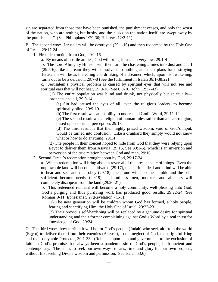sin are separated from those that have been punished, the punishment ceases, and only the worst of the nation, who are nothing but husks, and the husks on the nation itself, are swept away by the punishment." (See Philippians 1:29-30; Hebrews 12:2-11)

B. The second woe: Jerusalem will be destroyed (29:1-16) and then redeemed by the Holy One of Israel, 29:17-24

1. First, destruction from God, 29:1-16

a. By means of hostile armies, God will bring Jerusalem very low, 29:1-4

b. The Lord Almighty Himself will then turn the chastening armies into dust and chaff (29:5-6); like a dream they will dissolve into nothing and their plans for destroying Jerusalem will be as the eating and drinking of a dreamer, which, upon his awakening, turns out to be a delusion, 29:7-8 (See the fulfillment in Isaiah 36:1-38:22)

c. Jerusalem's physical problem is caused by spiritual eyes that will not see and spiritual ears that will not hear, 29:9-16 (See 6:8-10; John 12:37-43)

(1) The entire population was blind and drunk, not physically but spiritually prophets and all, 29:9-14

(a) Sin had caused the eyes of all, even the religious leaders, to become spiritually blind, 29:9-10

(b) The first result was an inability to understand God's Word, 29:11-12

(c) The second result was a religion of human rules rather than a heart religion, based upon spiritual perception, 29:13

(d) The third result is that their highly prized wisdom, void of God's input, would be turned into confusion. Like a drunkard they simply would not know what or how to do anything, 29:14

(2) The people in their conceit hoped to hide from God that they were relying upon Egypt to deliver them from Assyria (29:15, See 30:1-5), which is an inversion and perversion of the true relation between God and man, 29:16

2. Second, Israel's redemption brought about by God, 29:17-24

a. Which redemption will bring about a reversal of the present state of things. Even the unplowable land will become cultivated (29:17), the spiritual deaf and blind will be able to hear and see, and thus obey (29:18), the proud will become humble and the selfsufficient become needy (29:19), and ruthless men, mockers and all liars will completely disappear from the land (29:20-21)

b. This redeemed remnant will become a holy community, well-pleasing unto God. God's purging and thus purifying work has produced good results, 29:22-24 (See Romans 9-11; Ephesians 5:27;Revelation 7:1-8)

(1) The new generation will be children whom God has formed, a holy people, fearing and sanctifying Him, the Holy One of Israel, 29:22-23

(2) Their previous self-hardening will be replaced by a genuine desire for spiritual understanding and their former complaining against God's Word by a real thirst for knowledge of God, 29:24

C. The third woe: how terrible it will be for God's people (Judah) who seek aid from the world (Egypt) to deliver them from their enemies (Assyria), to the neglect of God, their rightful King and their only able Protector, 30:1-33. (Reliance upon man and government, to the exclusion of faith in God's promise, has always been a pandemic sin of God's people, both ancient and contemporary. The sin is to seek our own ways, means, time and glory for our own projects, without first seeking Divine wisdom and permission. See Isaiah 53:6)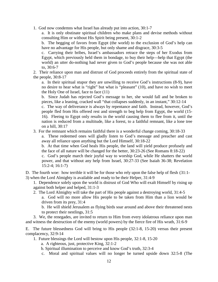1. God now condemns what Israel has already put into action, 30:1-7

a. It is only obstinate spiritual children who make plans and devise methods without consulting Him or without His Spirit being present, 30:1-2

b. The begging of favors from Egypt (the world) to the exclusion of God's help can have no advantage for His people, but only shame and disgrace, 30:3-5

c. Carrying their bribes, Israel's ambassadors retrace the steps of her Exodus from Egypt, which previously held them in bondage, to buy their help—help that Egypt (the world) an utter do-nothing had never given to God's people because she was not able to, 30:6-7

2. Their reliance upon man and distrust of God proceeds entirely from the spiritual state of the people, 30:8-17

a. In their spiritual stupor they are unwilling to receive God's instructions (8-9), have no desire to hear what is "right" but what is "pleasant" (10), and have no wish to meet the Holy One of Israel, face to face (11)

b. Since Judah has rejected God's message to her, she would fall and be broken to pieces, like a leaning, cracked wall "that collapses suddenly, in an instant," 30:12-14

c. The way of deliverance is always by repentance and faith. Instead, however, God's people fled from His offered rest and strength to beg help from Egypt, the world (15- 16). Fleeing to Egypt only results in the world causing them to flee from it, until the nation is reduced from a multitude, like a forest, to a faithful remnant, like a lone tree on a hill, 30:17

3. For the remnant which remains faithful there is a wonderful change coming, 30:18-33

a. These redeemed ones will gladly listen to God's message and preacher and cast away all reliance upon anything but the Lord Himself, 30:18-22

b. At that time when God heals His people, the land will yield produce profusely and the face of all nature will be changed for the better, 30:23-26 (See Romans 8:18-22)

c. God's people march their joyful way to worship God, while He shatters the world power, and that without any help from Israel, 30:27-33 (See Isaiah 36-38; Revelation 15:2-4; 16:1-7)

D. The fourth woe: how terrible it will be for those who rely upon the false help of flesh (31:1- 3) when the Lord Almighty is available and ready to be their Helper, 31:4-9

1. Dependence solely upon the world is distrust of God Who will exalt Himself by rising up against both helper and helped, 31:1-3

- 2. The Lord Almighty will take the part of His people against a destroying world, 31:4-5
	- a. God will no more allow His people to be taken from Him than a lion would be driven from its prey, 31:4

b. He will shield Jerusalem as flying birds soar around and above their threatened nests to protect their nestlings, 31:5

 3. We, the renegades, are invited to return to Him from every idolatrous reliance upon man and witness the destruction of the enemy (world powers) by the fierce fire of His wrath, 31:6-9

E. The future blessedness God will bring to His people (32:1-8, 15-20) versus their present complacency, 32:9-14

1. Future blessings the Lord will bestow upon His people, 32:1-8, 15-20

a. A righteous, just, protective King, 32:1-2

b. Spiritual illumination to perceive and know God's truth, 32:3-4

c. Moral and spiritual values will no longer be turned upside down 32:5-8 (The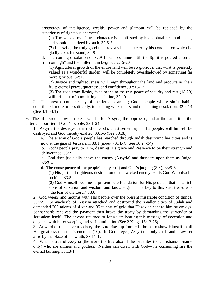aristocracy of intelligence, wealth, power and glamour will be replaced by the superiority of righteous character).

(1) The wicked man's true character is manifested by his habitual acts and deeds, and should be judged by such, 32:5-7

(2) Likewise, the truly good man reveals his character by his conduct, on which he gladly takes his stand, 32:8

d. The coming desolation of 32:9-14 will continue "'till the Spirit is poured upon us from on high" and the millennium begins, 32:15-20

(1) Agricultural growth of the entire land will be so glorious, that what is presently valued as a wonderful garden, will be completely overshadowed by something far more glorious, 32:15

(2) Justice and righteousness will reign throughout the land and produce as their fruit: eternal peace, quietness, and confidence, 32:16-17

(3) The road from fleshy, false peace to the true peace of security and rest (18,20) will arise out of humiliating discipline, 32:19

2. The present complacency of the females among God's people whose sinful habits contributed, more or less directly, to existing wickedness and the coming desolation, 32:9-14 (See 3:16-4:1)

F. The fifth woe: how terrible it will be for Assyria, the oppressor, and at the same time the sifter and purifier of God's people, 33:1-24

1. Assyria the destroyer, the rod of God's chastisement upon His people, will himself be destroyed and God thereby exalted, 33:1-6 (See 38:38)

a. The enemy of God's people has marched through Judah destroying her cities and is now at the gate of Jerusalem, 33:1 (about 701 B.C. See 10:24-34)

b. God's people pray to Him, desiring His grace and Presence to be their strength and deliverance, 33:2

c. God rises judicially above the enemy (Assyria) and thunders upon them as Judge, 33:3-4

d. The consequence of the people's prayer (2) and God's judging (3-4), 33:5-6

(1) His just and righteous destruction of the wicked enemy exalts God Who dwells on high, 33:5

(2) God Himself becomes a present sure foundation for His people—that is "a rich store of salvation and wisdom and knowledge." The key to this vast treasure is "the fear of the Lord," 33:6

2. God weeps and mourns with His people over the present miserable condition of things, 33:7-9. Sennacherib of Assyria attacked and destroyed the smaller cities of Judah and demanded 300 talents of silver and 35 talents of gold that Hezekiah sent to him by envoys. Sennacherib received the payment then broke the treaty by demanding the surrender of Jerusalem itself. The envoys returned to Jerusalem bearing this message of deception and disgrace with bitter weeping and self-humiliation (See 2 Kings 18:13-25).

3. At word of the above treachery, the Lord rises up from His throne to show Himself in all His greatness to Israel's enemies (10). In God's eyes, Assyria is only chaff and straw set afire by the blaze of his wrath, 33:11-12

4. What is true of Assyria (the world) is true also of the Israelites (or Christians-in-name only) who are sinners and godless. Neither can dwell with God—the consuming fire the eternal burning, 33:13-14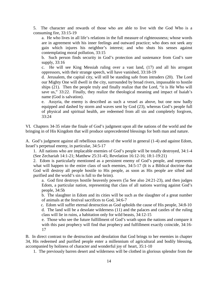5. The character and rewards of those who are able to live with the God Who is a consuming fire, 33:15-19

a. He who lives in all life's relations in the full measure of righteousness; whose words are in agreement with his inner feelings and outward practice; who does not seek any gain which injures his neighbor's interest; and who shuts his senses against contemplating moral pollution, 33:15

b. Such person finds security in God's protection and sustenance from God's sure supply, 33:16

c. He will see King Messiah ruling over a vast land, (17) and all his arrogant oppressors, with their strange speech, will have vanished, 33:18-19

d. Jerusalem, the capital city, will still be standing safe from intruders (20). The Lord our Mighty One will dwell in the city, surrounded by broad rivers, impassable to hostile ships (21). Then the people truly and finally realize that the Lord, "it is He Who will save us," 33:22. Finally, they realize the theological meaning and impact of Isaiah's name (God is salvation).

e. Assyria, the enemy is described as such a vessel as above, but one now badly equipped and dashed by storm and waves sent by God (23), whereas God's people full of physical and spiritual health, are redeemed from all sin and completely forgiven, 33:24

VI. Chapters 34-35 relate the finale of God's judgment upon all the nations of the world and the bringing in of His Kingdom that will produce unprecedented blessings for both man and nature.

A. God's judgment against all rebellious nations of the world in general (1-4) and against Edom, Israel's perpetual enemy, in particular, 34:5-17

1. All nations who are implacable enemies of God's people will be totally destroyed, 34:1-4 (See Zechariah 14:1-21; Matthew 25:31-45; Revelation 16:12-16; 18:1-19:21)

2. Edom is particularly mentioned as a persistent enemy of God's people, and represents what will happen to the entire class of such enemies, 34:5-17 (It is a Biblical doctrine that God will destroy all people hostile to His people, as soon as His people are sifted and purified and the world's sin is full to the brim).

a. God first destroys hostile heavenly powers (5a See also 24:21-23), and then judges Edom, a particular nation, representing that class of all nations warring against God's people, 34:5b

b. The slaughter in Edom and its cities will be such as the slaughter of a great number of animals at the festival sacrifices to God, 34:6-7

 c. Edom will suffer eternal destruction as God upholds the cause of His people, 34:8-10 d. The land will be a desolate wilderness (11) and the palaces and castles of the ruling class will lie in ruins, a habitation only for wild beasts, 34:12-15

e. Those who see the future fulfillment of God's wrath upon the nations and compare it with this past prophecy will find that prophecy and fulfillment exactly coincide, 34:16-17

B. In direct contrast to the destruction and desolation that God brings to her enemies in chapter 34, His redeemed and purified people enter a millennium of agricultural and bodily blessing, accompanied by holiness of character and wonderful joy of heart, 35:1-10

1. The previously barren desert and wilderness will be clothed in glorious splendor from the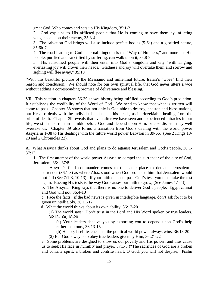great God, Who comes and sets up His Kingdom, 35:1-2

2. God explains to His afflicted people that He is coming to save them by inflicting vengeance upon their enemy, 35:3-4

3. The salvation God brings will also include perfect bodies (5-6a) and a glorified nature, 35:6b-7

4. The road leading to God's eternal kingdom is the "Way of Holiness," and none but His people, purified and sanctified by suffering, can walk upon it, 35:8-9

5. His ransomed people will then enter into God's kingdom and city "with singing; everlasting joy will crown their heads. Gladness and joy will overtake them and sorrow and sighing will flee away," 35:10

(With this beautiful picture of the Messianic and millennial future, Isaiah's "woes" find their reason and conclusion. We should note for our own spiritual life, that God never utters a woe without adding a corresponding promise of deliverance and blessing.)

VII. This section in chapters 36-39 shows history being fulfilled according to God's prediction. It establishes the credibility of the Word of God. We need to know that what is written will come to pass. Chapter 38 shows that not only is God able to destroy, chasten and bless nations, but He also deals with the individual and meets his needs, as in Hezekiah's healing from the brink of death. Chapter 39 reveals that even after we have seen and experienced miracles in our life, we still must remain humble before God and depend upon Him, or else disaster may well overtake us. Chapter 39 also forms a transition from God's dealing with the world power Assyria in 1-38 to His dealings with the future world power Babylon in 39-66. (See 2 Kings 18- 20 and 2 Chronicles 22).

A. What Assyria thinks about God and plans to do against Jerusalem and God's people, 36:1- 37:13

1. The first attempt of the world power Assyria to compel the surrender of the city of God, Jerusalem, 36:1-37:8

a. Assyria's field commander comes to the same place to demand Jerusalem's surrender (36:1-3) as where Ahaz stood when God promised him that Jerusalem would not fall (See 7:1-3, 10-13). If your faith does not pass God's test, you must take the test again. Passing His tests is the way God causes our faith to grow, (See James 1:1-4)).

b. The Assyrian King says that there is no one to deliver God's people: Egypt cannot and God will not, 36:4-10

c. Face the facts: if the bad news is given in intelligible language, don't ask for it to be given unintelligibly, 36:11-12

d. What the world thinks about its own ability, 36:13-20

(1) The world says: Don't trust in the Lord and His Word spoken by true leaders, 36:13-16a, 18-20

(a) Your leaders deceive you by exhorting you to depend upon God's help rather than ours, 36:13-16a

(b) History itself teaches that the political world power always wins, 36:18-20

(2) But God's way is to obey true leaders given by Him, 36:21-22

e. Some problems are designed to show us our poverty and His power, and thus cause us to seek His face in humility and prayer, 37:1-8 ("The sacrifices of God are a broken and contrite spirit; a broken and contrite heart, O God, you will not despise," Psalm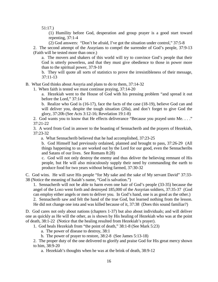51:17.)

(1) Humility before God, desperation and group prayer is a good start toward repenting, 37:1-4

(2) God answers: "Don't be afraid, I've got the situation under control," 37:5-8

2. The second attempt of the Assyrians to compel the surrender of God's people, 37:9-13 (Faith will be tested more than once.)

a. The movers and shakers of this world will try to convince God's people that their God is utterly powerless, and that they must give obedience to those in power more than to the spiritual power, 37:9-10

b. They will quote all sorts of statistics to prove the irresistibleness of their message, 37:11-13

B. What God thinks about Assyria and plans to do to them, 37:14-32

1. When faith is tested we must continue praying, 37:14-20

a. Hezekiah went to the House of God with his pressing problem "and spread it out before the Lord," 37:14

b. Realize who God is (16-17), face the facts of the case (18-19), believe God can and will deliver you, despite the tough situation (20a), and don't forget to give God the glory, 37:20b (See Acts 3:12-16; Revelation 19:1-8)

2. God wants you to know that He effects deliverance "Because you prayed unto Me. . . ." 37:21-22

3. A word from God in answer to the boasting of Sennacherib and the prayers of Hezekiah, 37:23-32

a. What Sennacherib believed that he had accomplished, 37:23-25

b. God Himself had previously ordained, planned and brought to pass, 37:26-29 (All things happening to us are worked out by the Lord for our good, even the Sennacheribs and Satans of our lives. See Romans 8:28)

c. God will not only destroy the enemy and thus deliver the believing remnant of His people, but He will also miraculously supply their need by commanding the earth to produce food for two years without being farmed, 37:30-32

C. God wins. He will save His people "for My sake and the sake of My servant David" 37:33- 38 (Notice the meaning of Isaiah's name, "God is salvation.")

1. Sennacherib will not be able to harm even one hair of God's people (33-35) because the angel of the LORD went forth and destroyed 185,000 of the Assyrian soldiers, 37:35-37 (God can employ either angels or men to deliver you. In God's hand, one is as good as the other.)

2. Sennacherib saw and felt the hand of the true God, but learned nothing from the lesson. He did not change one iota and was killed because of it, 37:38 (Does this sound familiar?)

D. God cares not only about nations (chapters 1-37) but also about individuals; and will deliver one as quickly as He will the other, as is shown by His healing of Hezekiah who was at the point of death, 38:1-22 (Notice that the healing resulted from Hezekiah's prayer).

1. God heals Hezekiah from "the point of death," 38:1-8 (See Mark 5:23)

a. The power of disease to destroy, 38:1

b. The power of prayer to restore, 38:2-8 (See James 5:13-18)

2. The proper duty of the one delivered to glorify and praise God for His great mercy shown to him, 38:9-20

a. Hezekiah's thoughts when he was at the brink of death, 38:9-12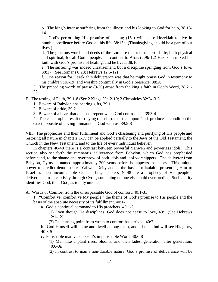b. The king's intense suffering from the illness and his looking to God for help, 38:13- 14

c. God's performing His promise of healing (15a) will cause Hezekiah to live in humble obedience before God all his life, 38:15b (Thanksgiving should be a part of our lives.)

d. The gracious words and deeds of the Lord are the true support of life, both physical and spiritual, for all God's people. In contrast to Ahaz (7:9b-12) Hezekiah mixed his faith with God's promise of healing, and he lived, 38:16

e. The suffering was indeed chastisement, but a discipline springing from God's love, 38:17 (See Romans 8:28; Hebrews 12:5-12)

f. One reason for Hezekiah's deliverance was that he might praise God in testimony to his children (18-19) and worship continually in God's presence, 38:20

3. The preceding words of praise (9-20) arose from the king's faith in God's Word, 38:21- 22

E. The testing of Faith, 39:1-8 (See 2 Kings 20:12-19; 2 Chronicles 32:24-31)

- 1. Beware of Babylonians bearing gifts, 39:1
- 2. Beware of pride, 39:2

3. Beware of a heart that does not repent when God confronts it, 39:3-4

4. The catastrophic result of relying on self, rather than upon God, produces a condition the exact opposite of having Immanuel—God with us, 39:5-8

VIII. The prophecies and their fulfillment and God's chastening and purifying of His people and restoring all nature in chapters 1-39 can be applied partially to the Jews of the Old Testament, the Church in the New Testament, and to the life of every individual believer.

 In chapters 40-48 there is a contrast between powerful Yahweh and powerless idols. This section also set forth the remnant's deliverance from Babylon, which God has prophesied beforehand, to the shame and overthrow of both idols and idol worshippers. The deliverer from Babylon, Cyrus, is named approximately 200 years before he appears in history. This unique power to predict demonstrates Yahweh Deity and is the basis for Isaiah's presenting Him to Israel as their incomparable God. Thus, chapters 40-48 are a prophecy of His people's deliverance from captivity through Cyrus, something no one else could ever predict. Such ability identifies God, their God, as totally unique.

A. Words of Comfort from the unsurpassable God of comfort, 40:1-31

1. "Comfort ye, comfort ye My people," the theme of God's promise to His people and the basis of the absolute necessity of its fulfillment, 40:1-11

- a. God's continual command to His preachers, 40:1-2
	- (1) Even though He disciplines, God does not cease to love, 40:1 (See Hebrews 12:1-12)
	- (2) The turning point from wrath to comfort has arrived, 40:2

b. God Himself will come and dwell among them, and all mankind will see His glory, 40:3-5

c. Perishable man versus God's imperishable Word, 40:6-8

(1) Man like a plant rises, blooms, and then fades, generation after generation, 40:6-8a

(2) In contrast to man's non-durable nature, God's promise of deliverance will be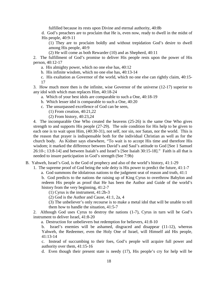fulfilled because its rests upon Divine and eternal authority, 40:8b

d. God's preachers are to proclaim that He is, even now, ready to dwell in the midst of His people, 40:9-11

(1) They are to proclaim boldly and without trepidation God's desire to dwell among His people, 40:9

(2) He will come as both Rewarder (10) and as Shepherd, 40:11

2. The fulfillment of God's promise to deliver His people rests upon the power of His person, 40:12-17

a. His almighty power, which no one else has, 40:12

b. His infinite wisdom, which no one else has, 40:13-14

c. His exaltation as Governor of the world, which no one else can rightly claim, 40:15- 17

3. How much more then is the infinite, wise Governor of the universe (12-17) superior to any idol with which man replaces Him, 40:18-24

a. Which of your best idols are comparable to such a One, 40:18-19

- b. Which lesser idol is comparable to such a One, 40:20
- c. The unsurpassed excellence of God can be seen,
	- (1) From creation, 40:21,22
	- (2) From history, 40:23,24

4. The incomparable One Who created the heavens (25-26) is the same One Who gives strength to and supports His people (27-29). The sole condition for His help to be given to each one is to wait upon Him, (40:30-31), not self, nor sin, nor Satan, nor the world. This is the reason that prayer is indispensable both for the individual Christian as well as for the church body. As Kidner says elsewhere, "To wait is to accept His time and therefore His wisdom; it marked the difference between David's and Saul's attitude to God [See 1 Samuel 26:10-; 13:8-14] and between Isaiah's and Israel's [See Isaiah 30:15-18]." Faith is all that is needed to insure participation in God's strength (See 7:9b)

B. Yahweh, Israel's God, is the God of prophecy and also of the world's history, 41:1-29

- 1. The supreme proof of God being the sole deity is His power to predict the future, 41:1-7
	- a. God summons the idolatrous nations to the judgment seat of reason and truth, 41:1

b. God predicts to the nations the raising up of King Cyrus to overthrow Babylon and redeem His people as proof that He has been the Author and Guide of the world's history from the very beginning, 41:2-7

(1) Cyrus is the instrument, 41:2b-3

(2) God is the Author and Cause, 41:1, 2a, 4

(3) The unbeliever's only recourse is to make a metal idol that will be unable to tell them how to handle the situation, 41:5-7

2. Although God uses Cyrus to destroy the nations (1-7), Cyrus in turn will be God's instrument to deliver Israel, 41:8-20

a. Destruction for unbelievers but redemption for believers, 41:8-10

b. Israel's enemies will be ashamed, disgraced and disappear (11-12), whereas Yahweh, the Redeemer, even the Holy One of Israel, will Himself aid His people, 41:13-14

c. Instead of succumbing to their foes, God's people will acquire full power and authority over them, 41:15-16

d. Even though their present state is needy (17), His people's cry for help will be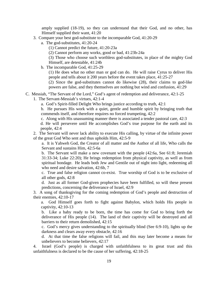amply supplied (18-19), so they can understand that their God, and no other, has Himself supplied their want, 41:20

- 3. Compare your best god-substitute to the incomparable God, 41:20-29
	- a. The god-substitutes, 41:20-24
		- (1) Cannot predict the future, 41:20-23a
		- (2) Cannot perform any works, good or bad, 41:23b-24a

(3) Those who choose such worthless god-substitutes, in place of the mighty God Himself, are detestable, 41:24b

b. The incomparable God, 41:25-29

(1) He does what no other man or god can do. He will raise Cyrus to deliver His people and tells about it 200 years before the event takes place, 41:25-27

(2) Since the god-substitutes cannot do likewise (28), their claims to god-like powers are false, and they themselves are nothing but wind and confusion, 41:29

C. Messiah, "The Servant of the Lord," God's agent of redemption and deliverance, 42:1-25

1. The Servant-Messiah's virtues, 42:1-4

a. God's Spirit-filled Delight Who brings justice according to truth, 42:1

b. He pursues His work with a quiet, gentle and humble spirit by bringing truth that commends itself, and therefore requires no forced trumpeting, 42:2

c. Along with His unassuming manner there is associated a tender pastoral care, 42:3

d. He will persevere until He accomplishes God's true purpose for the earth and its people, 42:4

2. The Servant will never lack ability to execute His calling, by virtue of the infinite power of the great God Who sent and thus upholds Him, 42:5-9

a. It is Yahweh God, the Creator of all matter and the Author of all life, Who calls the Servant and sustains Him, 42:5-6a

b. The Servant will make a new covenant with the people (42:6a, See 61:8; Jeremiah 31:33-34; Luke 22:20); He brings redemption from physical captivity, as well as from spiritual bondage. He leads both Jew and Gentile out of night into light, redeeming all who need and desire salvation, 42:6b, 7

c. True and false religion cannot co-exist. True worship of God is to be exclusive of all other gods, 42:8

d. Just as all former God-given prophecies have been fulfilled, so will these present predictions, concerning the deliverance of Israel, 42:9

3. A song of thanksgiving for the coming redemption of God's people and destruction of their enemies, 42:10-17

a. God Himself goes forth to fight against Babylon, which holds His people in captivity, 42:10-13

b. Like a baby ready to be born, the time has come for God to bring forth the deliverance of His people (14). The land of their captivity will be destroyed and all barriers to their return demolished, 42:15

c. God's mercy gives understanding to the spiritually blind (See 6:9-10), lights up the darkness and clears away every obstacle, 42:16

d. At that time the false religions will fail, and this may later become a means for unbelievers to become believers, 42:17

4. Israel (God's people) is charged with unfaithfulness to its great trust and this unfaithfulness is declared to be the cause of her suffering, 42:18-25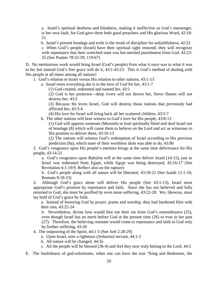a. Israel's spiritual deafness and blindness, making it ineffective as God's messenger, is her own fault, for God gave them both good preachers and His glorious Word, 42:18- 21

 b. Israel's present bondage and exile is the result of discipline for unfaithfulness, 42:22 c. When God's people (Israel) have their spiritual sight restored, they will recognize with repentance that their wretched state was but merited punishment from God, 42:23- 25 (See Psalms 78:32-39; 119:67)

D. No meritorious work would bring Israel (God's people) from what it once was to what it was to be; but instead God's free grace will do it, 43:1-43:23. This is God's method of dealing with His people at all times among all nations!

1. God's relation to Israel versus His relation to other nations, 43:1-13

a. Israel owes everything she is to the love of God for her, 43:1-7

(1) God created, redeemed and named her, 43:1

(2) God is her protector—deep rivers will not drown her, fierce flames will not destroy her, 43:2

(3) Because He loves Israel, God will destroy those nations that previously had afflicted her, 43:3-4

(4) His love for Israel will bring back all her scattered children, 43:5-7

b. The other nations will bear witness to God's love for His people, 43:8-13

(1) God will appoint someone (Messiah) to lead spiritually blind and deaf Israel out of bondage (8) which will cause them to believe on the Lord and act as witnesses to His promise to deliver them, 43:10-13

(2) The nations will witness God's redemption of Israel according to His previous prediction (9a), which none of their worthless idols was able to do, 43:9b

2. God's vengeance upon His people's enemies brings at the same time deliverance for His people, 43:14-21

a. God's vengeance upon Babylon will at the same time deliver Israel (14-15), just as Israel was redeemed from Egypt, while Egypt was being destroyed, 43:16-17 (See Revelation 6:1-19:9. Reflect also on the rapture)

b. God's people along with all nature will be liberated, 43:18-21 (See Isaiah 11:1-16; Romans 8:18-23)

3. Although God's grace alone will deliver His people (See 43:1-13), Israel must appropriate God's promise by repentance and faith. Since she has not believed and fully returned to God, she must be purified by even more suffering, 43:22-28. We, likewise, must lay hold of God's grace by faith.

a. Instead of honoring God by prayer, praise and worship, they had burdened Him with their sins, 43:22-24

b. Nevertheless, divine love would blot out their sin from God's remembrance (25), even though Israel has no merit before God at the present time (26) or ever in her past (27). Therefore, the believing remnant would come to repentance and faith in God only by further suffering, 43:28

4. The outpouring of the Spirit, 44:1-5 (See Joel 2:28-29)

- a. Upon Israel, now a righteous (Jeshurun) servant, 44:1-2
- b. All nature will be changed, 44:3a
- c. All the people will be blessed (3b-4) and feel they now truly belong to the Lord, 44:5

E. The foolishness of god-substitutes, when one can have the true "King and Redeemer, the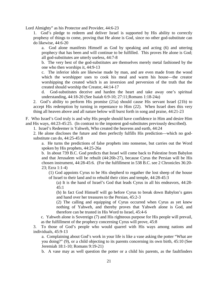Lord Almighty" as his Protector and Provider, 44:6-23

1. God's pledge to redeem and deliver Israel is supported by His ability to correctly prophesy of things to come, proving that He alone is God, since no other god-substitute can do likewise, 44:6-20

a. God alone manifests Himself as God by speaking and acting (6) and uttering prophecy that has been and will continue to be fulfilled. This proves He alone is God; all god-substitutes are utterly useless, 44:7-8

b. The very best of the god-substitutes are themselves merely metal fashioned by the one who then worships it, 44:9-13

c. The inferior idols are likewise made by man, and are even made from the wood which the worshipper uses to cook his meal and warm his house—the creator worshipping the created which is an inversion and perversion of the truth that the created should worship the Creator, 44:14-17

d. God-substitutes deceive and harden the heart and take away one's spiritual understanding, 44:18-20 (See Isaiah 6:9-10; 27:11;Romans 1:18-24a)

2. God's ability to perform His promise (21a) should cause His servant Israel (21b) to accept His redemption by turning in repentance to Him (22). When Israel does this very thing all heaven above and all nature below will burst forth in song and praise, 44:21-23

F. Who Israel's God truly is and why His people should have confidence in Him and desire Him and His ways, 44:23-45:25. (In contrast to the impotent god-substitutes previously described).

1. Israel's Redeemer is Yahweh, Who created the heavens and earth, 44:24

2. He alone discloses the future and then perfectly fulfills His prediction—which no godsubstitute can do, 44:25-45:8

a. He turns the predictions of false prophets into nonsense, but carries out the Word spoken by His prophets, 44:25-26a

b. In about 739 B.C. God predicts that Israel will come back to Palestine from Babylon and that Jerusalem will be rebuilt (44:26b-27), because Cyrus the Persian will be His chosen instrument, 44:28-45:6. (For the fulfillment in 538 B.C. see 2 Chronicles 36:20- 23; Ezra 1:1-4)

(1) God appoints Cyrus to be His shepherd to regather the lost sheep of the house of Israel to their land and to rebuild their cities and temple, 44:28-45:3

(a) It is the hand of Israel's God that leads Cyrus in all his endeavors, 44:28- 45:1

(b) In fact God Himself will go before Cyrus to break down Babylon's gates and hand over her treasures to the Persian, 45:2-3

(2) The calling and equipping of Cyrus occurred when Cyrus as yet knew nothing of Yahweh, and thereby proves that Yahweh alone is God, and therefore can be trusted in His Word to Israel, 45:4-6

c. Yahweh alone is Sovereign (7) and His righteous purpose for His people will prevail, as the fulfillment of the prophecy concerning Cyrus will prove, 45:8

3. To those of God's people who would quarrel with His ways among nations and individuals, 45:9-13

a. Complaining about God's work in your life is like a vase asking the potter "What are you doing?" (9), or a child objecting to its parents concerning its own birth, 45:10 (See Jeremiah 18:1-10; Romans 9:19-21)

b. A vase may as well question the potter or a child his parents, as the faultfinders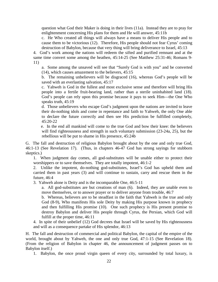question what God their Maker is doing in their lives (11a). Instead they are to pray for enlightenment concerning His plans for them and He will answer, 45:11b

c. He Who created all things will always have a means to deliver His people and to cause them to be victorious (12). Therefore, His people should not fear Cyrus' coming destruction of Babylon, because that very thing will bring deliverance to Israel, 45:13

4. God's work among the nations will redeem the sifted and purified remnant and at the same time convert some among the heathen, 45:14-25 (See Matthew 25:31-46; Romans 9- 11)

a. Some among the unsaved will see that "Surely God is with you" and be converted (14), which causes amazement to the believers, 45:15

b. The remaining unbelievers will be disgraced (16), whereas God's people will be saved with an everlasting salvation, 45:17

c. Yahweh is God in the fullest and most exclusive sense and therefore will bring His people into a fertile fruit-bearing land, rather than a sterile uninhabited land (18). God's people can rely upon this promise because it pays to seek Him—the One Who speaks truth, 45:19

d. Those unbelievers who escape God's judgment upon the nations are invited to leave their do-nothing idols and come in repentance and faith to Yahweh, the only One able to declare the future correctly and then see His prediction be fulfilled completely, 45:20-22

 e. In the end all mankind will come to the true God and bow their knee: the believers will find righteousness and strength in such voluntary submission (23-24a, 25), but the rebellious will be put to shame in His presence, 45:24b

G. The fall and destruction of religious Babylon brought about by the one and only true God, 46:1-13 (See Revelation 17). (Thus, in chapters 46-47 God has strong sayings for stubborn skeptics.)

1. When judgment day comes, all god-substitutes will be unable either to protect their worshippers or to save themselves. They are totally impotent, 46:1-2

2. Unlike the impotent, do-nothing god-substitutes, Israel's God has upheld them and carried them in past years (3) and will continue to sustain, carry and rescue them in the future, 46:4

3. Yahweh alone is Deity and is the incomparable One, 46:5-11

a. All god-substitutes are but creations of man (6). Indeed, they are unable even to move themselves, or to answer prayer or to deliver anyone from trouble, 46:7

b. Whereas, believers are to be steadfast in the faith that Yahweh is the true and only God (8-9), Who manifests His sole Deity by making His purpose known in prophecy and then fulfilling His promise (10). One such prophecy is His present promise to destroy Babylon and deliver His people through Cyrus, the Persian, which God will fulfill at the proper time, 46:11

4. In spite of their unbelief (12) God decrees that Israel will be saved by His righteousness and will as a consequence partake of His splendor, 46:13

H. The fall and destruction of commercial and political Babylon, the capital of the empire of the world, brought about by Yahweh, the one and only true God, 47:1-15 (See Revelation 18). (From the religion of Babylon in chapter 46, the announcement of judgment passes on to Babylon itself.)

1. Babylon, the once proud virgin queen of every city, surrounded by total luxury, is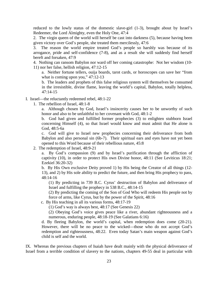reduced to the lowly status of the domestic slave-girl (1-3), brought about by Israel's Redeemer, the Lord Almighty, even the Holy One, 47:4

2. The virgin queen of the world will herself be cast into darkness (5), because having been given victory over God's people, she treated them mercilessly, 47:6

3. The reason the world empire treated God's people so harshly was because of its arrogance, pride and self-confidence (7-8), and as a result she will suddenly find herself bereft and forsaken, 47:9

4. Nothing can ransom Babylon nor ward off her coming catastrophe: Not her wisdom (10- 11) nor her false, hellish religion, 47:12-15

a. Neither fortune tellers, ouija boards, tarot cards, or horoscopes can save her "from what is coming upon you," 47:12-13

b. The leaders and prophets of this false religious system will themselves be consumed in the irresistible, divine flame, leaving the world's capital, Babylon, totally helpless, 47:14-15

I. Israel—the reluctantly redeemed rebel, 48:1-22

1. The rebellion of Israel, 48:1-8

a. Although chosen by God, Israel's insincerity causes her to be unworthy of such honor and also to be unfaithful to her covenant with God, 48:1-2

b. God had given and fulfilled former prophecies (3) to enlighten stubborn Israel concerning Himself (4), so that Israel would know and must admit that He alone is God, 48:5-6a

c. God will give to Israel new prophecies concerning their deliverance from both Babylon and also personal sin (6b-7). Their spiritual ears and eyes have not yet been opened to this Word because of their rebellious nature, 45:8

2. The redemption of Israel, 48:9-21

a. By God's compassion (9) and by Israel's purification through the affliction of captivity (10), in order to protect His own Divine honor, 48:11 (See Leviticus 18:21; Ezekiel 36:20-32)

b. By His Own exclusive Deity proved 1) by His being the Creator of all things (12- 13), and 2) by His sole ability to predict the future, and then bring His prophecy to pass, 48:14-16

(1) By predicting in 739 B.C. Cyrus' destruction of Babylon and deliverance of Israel and fulfilling the prophecy in 538 B.C., 48:14-15

(2) By predicting the coming of the Son of God Who will redeem His people not by force of arms, like Cyrus, but by the power of the Spirit, 48:16

c. By His teaching in all its various forms, 48:17-19

(1) God's way is always best, 48:17 (See Genesis 22)

(2) Obeying God's voice gives peace like a river, abundant righteousness and a numerous, enduring people, 48:18-19 (See Galatians 6:16)

d. By fleeing Babylon, the world's capital, when redemption does come (20-21). However, there will be no peace to the wicked—those who do not accept God's redemption and righteousness, 48:22. Even today Satan's main weapon against God's child is self and the world.

IX. Whereas the previous chapters of Isaiah have dealt mainly with the physical deliverance of Israel from a terrible condition of slavery to the nations, chapters 49-55 deal in particular with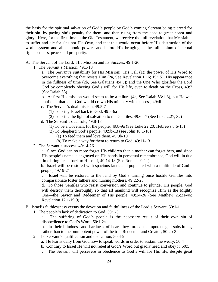the basis for the spiritual salvation of God's people by God's coming Servant being pierced for their sin, by paying sin's penalty for them, and then rising from the dead to great honor and glory. Here, for the first time in the Old Testament, we receive the full revelation that Messiah is to suffer and die for sins not His Own, and that this would occur before His destruction of the world system and all demonic powers and before His bringing in the millennium of eternal righteousness, peace and prosperity.

- A. The Servant of the Lord: His Mission and Its Success, 49:1-26
	- 1. The Servant's Mission, 49:1-13

a. The Servant's suitability for His Mission: His Call (1); the power of His Word to overcome everything that resists Him (2a, See Revelation 1:16; 19:15); His appearance in the fullness of time (2b, See Galatians 4:4,5); and the One Who glorifies the Lord God by completely obeying God's will for His life, even to death on the Cross, 49:3 (See Isaiah 53)

b. At first His mission would seem to be a failure (4a, See Isaiah 53:1-3), but He was confident that later God would crown His ministry with success, 49:4b

- c. The Servant's dual mission, 49:5-7
	- (1) To bring Israel back to God, 49:5-6a
	- (2) To bring the light of salvation to the Gentiles, 49:6b-7 (See Luke 2:27, 32)
- d. The Servant's dual role, 49:8-13
	- (1) To be a Covenant for the people, 49:8-9a (See Luke 22:20; Hebrews 8:6-13)
	- (2) To Shepherd God's people, 49:9b-13 (see John 10:1-18)
		- (a) To feed them and love them, 49:9b-10
		- (b) To make a way for them to return to God, 49:11-13
- 2. The Servant's success, 49:14-26

a. Since God can no more forget His children than a mother can forget hers, and since His people's name is engraved on His hands in perpetual remembrance, God will in due time bring Israel back to Himself, 49:14-18 (See Romans 9-11)

b. Israel will be restored with spacious lands and populated with a multitude of God's people, 49:19-21

c. Israel will be restored to the land by God's turning once hostile Gentiles into compassionate foster fathers and nursing mothers, 49:22-23

d. To those Gentiles who resist conversion and continue to plunder His people, God will destroy them thoroughly so that all mankind will recognize Him as the Mighty One—the Savior and Redeemer of His people, 49:24-26 (See Matthew 25:31-46; Revelation 17:1-19:9)

- B. Israel's faithlessness versus the devotion and faithfulness of the Lord's Servant, 50:1-11
	- 1. The people's lack of dedication to God, 50:1-3
		- a. The suffering of God's people is the necessary result of their own sin of disobedience to God's Word, 50:1-2a

b. In their blindness and hardness of heart they turned to impotent god-substitutes, rather than to the omnipotent power of the true Redeemer and Creator, 50:2b-3

- 2. The Servant's qualification and dedication, 50:4-9
	- a. He learns daily from God how to speak words in order to sustain the weary, 50:4
	- b. Contrary to Israel He will not rebel at God's Word but gladly heed and obey it, 50:5
	- c. The Servant will persevere in obedience to God's will for His life, despite great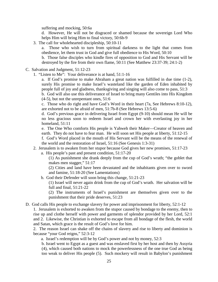suffering and mocking, 50:6a

d. However, He will not be disgraced or shamed because the sovereign Lord Who helps Him will bring Him to final victory, 50:6b-9

3. The call for wholehearted discipleship, 50:10-11

a. Those who wish to turn from spiritual darkness to the light that comes from obedience, let them trust in God and give full obedience to His Word, 50:10

b. Those false disciples who kindle fires of opposition to God and His Servant will be destroyed by the fire from their own flame, 50:11 (See Matthew 23:37-39; 24:1-2)

- C. Salvation and Judgment, 51:12-23
	- 1. "Listen to Me": Your deliverance is at hand, 51:1-16

a. If God's promise to make Abraham a great nation was fulfilled in due time (1-2), surely His promise to make Israel's wasteland like the garden of Eden inhabited by people full of joy and gladness, thanksgiving and singing will also come to pass, 51:3

b. God will also use this deliverance of Israel to bring many Gentiles into His Kingdom (4-5), but not the unrepentant ones, 51:6

c. Those who do right and have God's Word in their heart (7a, See Hebrews 8:10-12), are exhorted not to be afraid of men, 51:7b-8 (See Hebrews 13:5-6)

d. God's previous grace in delivering Israel from Egypt (9-10) should mean He will be no less gracious soon to redeem Israel and crown her with everlasting joy in her homeland, 51:11

e. The One Who comforts His people is Yahweh their Maker—Creator of heaven and earth. They do not have to fear man. He will soon set His people at liberty, 51:12-15

f. God's Word placed in the mouth of His Servant will be the means of the renewal of the world and the restoration of Israel, 51:16 (See Genesis 1:3-31)

2. Jerusalem is to awaken from her stupor because God gives her new promises, 51:17-23

a. His people's past and present condition, 51:17-20

(1) As punishment she drank deeply from the cup of God's wrath; "the goblet that makes men stagger," 51:17

(2) Cities and land have been devastated and the inhabitants given over to sword and famine, 51:18-20 (See Lamentations)

b. God their Defender will soon bring this change, 51:21-23

(1) Israel will never again drink from the cup of God's wrath. Her salvation will be full and final, 51:21-22

(2) The instruments of Israel's punishment are themselves given over to the punishment that their pride deserves, 51:23

D. God calls His people to exchange slavery for power and imprisonment for liberty, 52:1-12

1. Jerusalem is exhorted to awaken from the stupor caused by bondage to the enemy, then to rise up and clothe herself with power and garments of splendor provided by her Lord, 52:1 and 2. Likewise, the Christian is exhorted to escape from all bondage of the flesh, the world and Satan, which grace is the result of God's love for him.

2. The reason Israel can shake off the chains of slavery and rise to liberty and dominion is because "your God reigns," 52:3-12

a. Israel's redemption will be by God's power and not by money, 52:3

b. Israel went to Egypt as a guest and was enslaved first by her host and then by Assyria

(4), which caused both nations to mock the powerlessness of the one true God as being too weak to deliver His people (5). Such mockery will result in Babylon's punishment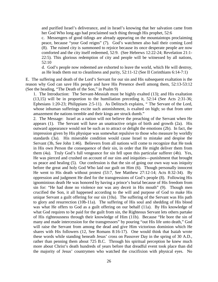and purified Israel's deliverance, and in Israel's knowing that her salvation came from her God Who long ago had proclaimed such thing through His prophet, 52:6

c. Messengers of good tidings are already appearing on the mountaintops proclaiming peace, because "your God reigns" (7). God's watchmen also hail their coming Lord (8). The ruined city is summoned to rejoice because its once desperate people are now comforted and the city itself redeemed, 52:9. (See Hebrews 12:22-24; Revelation 21:1- 22:5). This glorious redemption of city and people will be witnessed by all nations, 52:10

d. God's people now redeemed are exhorted to leave the world, which He will destroy, as He leads them out to cleanliness and purity, 52:11-12 (See II Corinthians 6:14-7:1)

E. The suffering and death of the Lord's Servant for our sin and His subsequent exaltation is the reason why God can save His people and have His Presence dwell among them, 52:13-53:12 (See the heading, "The Death of the Son," in Psalm 9)

1. The Introduction: The Servant-Messiah must be highly exalted (13); and His exaltation (13,15) will be in proportion to the humiliation preceding it, 52:14 (See Acts 2:31-36; Ephesians 1:20-23; Philippians 2:5-11). As Delitzsch explains, " The Servant of the Lord, whose inhuman sufferings excite such astonishment, is exalted on high; so that from utter amazement the nations tremble and their kings are struck dumb."

2. The Message: Israel as a nation will not believe the preaching of the Servant when He appears (1). The Servant will have an unattractive origin of birth and growth (2a). His outward appearance would not be such as to attract or delight the emotions (2b). In fact, the impression given by His physique was somewhat repulsive to those who measure by worldly standards (3a). His miserable condition would cause Israel to mistake and despise the Servant (3b, See John 1:46). Believers from all nations will come to recognize that He took in His own Person the consequence of their sin, in order that He might deliver them from them (4a). Truly God's full vengeance for sin fell upon this particular sufferer (4b). Yes, He was pierced and crushed on account of our sins and iniquities—punishment that brought us peace and healing (5). Our confession is that the sin of going our own way was iniquity before the great and holy God Who laid our guilt on Him (6). Though personally innocent He went to His death without protest (53:7, See Matthew 27:12-14; Acts 8:32-34). By oppression and judgment He died for the transgressions of God's people (8). Following His ignominious death He was honored by having a prince's burial because of His freedom from sin for: "He had done no violence nor was any deceit in His mouth" (9). Though men crucified the Son, it all happened according to the will and purpose of God to make His unique Servant a guilt offering for our sin (10a). The suffering of the Servant was His path to glory and resurrection (10b-11a). The suffering of His soul and shedding of His blood was what He offers to God as a guilt offering on our behalf (11a). By His knowledge of what God requires to be paid for the guilt from sin, the Righteous Servant lets others partake of His righteousness through their knowledge of Him (11b). Because "He bore the sin of many and made intercession for the transgressors" by pouring "out His life unto death," God will raise the Servant from among the dead and give Him victorious dominion which He shares with His followers (12, See Romans 8:16-17). One would think that Isaiah wrote these words while standing beneath Jesus' cross on Passover Day in the spring of 30 A.D., rather than penning them about 725 B.C. Through his spiritual perception he knew much more about Christ's death hundreds of years before that dreadful event took place than did the majority of Jesus' countrymen who watched the crucifixion with physical eyes. No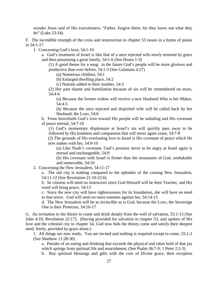wonder Jesus said of His executioners, "Father, forgive them; for they know not what they do" (Luke 23:34).

F. The incredible triumph of the cross and resurrection in chapter 53 issues in a hymn of praise in 54:1-17.

1. Concerning God's love, 54:1-10

a. God's treatment of Israel is like that of a once rejected wife newly restored by grace and then possessing a great family, 54:1-6 (See Hosea 1-3)

(1) A good theme for a song: in the future God's people will be more glorious and productive than ever before, 54:1-3 (See Galatians 4:27)

(a) Numerous children, 54:1

(b) Enlarged dwelling place, 54:2

(c) Nations added to their number, 54:3

(2) Her past shame and humiliation because of sin will be remembered no more, 54:4-6

(a) Because the former widow will receive a new Husband Who is her Maker, 54:4-5

(b) Because the once rejected and dispirited wife will be called back by her Husband, the LORD, 54:6

b. From henceforth God's love toward His people will be unfailing and His covenant of peace eternal, 54:7-10

(1) God's momentary displeasure at Israel's sin will quickly pass away to be followed by His kindness and compassion that will never again cease, 54:7-8

(2) The grounds of His everlasting love to Israel is His covenant of peace which He now makes with her, 54:9-10

(a) Like Noah's covenant, God's promise never to be angry at Israel again is eternal and unchangeable, 54:9

(b) His covenant with Israel is firmer than the mountains of God, unshakable and unmovable, 54:10

2. Concerning the New Jerusalem, 54:11-17

a. The old city is nothing compared to the splendor of the coming New Jerusalem, 54:11-12 (See Revelation 21:10-22:6)

b. Its citizens will need no instructors since God Himself will be their Teacher, and His word will bring peace, 54:13

c. Since the new city will have righteousness for its foundation, she will have no need to fear terror. God will send no more enemies against her, 54:14-15

d. The New Jerusalem will be as invincible as is God, because the LORD, the Sovereign One is their Protector, 54:16-17

G. An invitation to the thirsty to come and drink deeply from the well of salvation, 55:1-13 (See John 4:10; Revelation 22:17). (Having provided for salvation in chapter 53, and spoken of His love and the celestial city in chapter 54, God now bids the thirsty come and satisfy their deepest need, freely, provided by grace alone.)

1. All things are now ready. You are invited and nothing is required except to come, 55:1-2 (See Matthew 11:28-30)

a. Partake of an eating and drinking that exceeds the physical and takes hold of that joy which springs from spiritual life and nourishment, (See Psalm 36:7-9; 1 Peter 2:2-3)

b. Buy spiritual blessings and gifts with the coin of Divine grace, their reception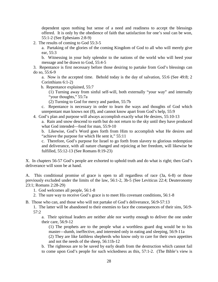dependent upon nothing but sense of a need and readiness to accept the blessings offered. It is only by the obedience of faith that satisfaction for one's soul can be won, 55:1-2 (See Ephesians 2:8-9)

2. The results of coming to God 55:3-5

a. Partaking of the glories of the coming Kingdom of God to all who will merely give ear, 55:3

b. Witnessing in your holy splendor to the nations of the world who will heed your message and be drawn to God, 55:4-5

3. Repentance is first necessary before those desiring to partake from God's blessings can do so, 55:6-9

a. Now is the accepted time. Behold today is the day of salvation, 55:6 (See 49:8; 2 Corinthians 6:1-2)

b. Repentance explained, 55:7

(1) Turning away from sinful self-will, both externally "your way" and internally "your thoughts," 55:7a

(2) Turning to God for mercy and pardon, 55:7b

c. Repentance is necessary in order to learn the ways and thoughts of God which unrepentant man knows not (8), and cannot know apart from God's help, 55:9

4. God's plan and purpose will always accomplish exactly what He desires, 55:10-13

a. Rain and snow descend to earth but do not return to the sky until they have produced what God intended—food for man, 55:9-10

b. Likewise, God's Word goes forth from Him to accomplish what He desires and "achieve the purpose for which He sent it," 55:11

c. Therefore, God's purpose for Israel to go forth from slavery to glorious redemption and deliverance, with all nature changed and rejoicing at her freedom, will likewise be fulfilled, 55:12-13 (See Romans 8:19-23)

X. In chapters 56-57 God's people are exhorted to uphold truth and do what is right; then God's deliverance will soon be at hand.

A. This conditional promise of grace is open to all regardless of race (3a, 6-8) or those previously excluded under the limits of the law, 56:1-2, 3b-5 (See Leviticus 22:4; Deuteronomy 23:1; Romans 2:28-29)

1. God welcomes all people, 56:1-8

2. The sure way to receive God's grace is to meet His covenant conditions, 56:1-8

B. Those who can, and those who will not partake of God's deliverance, 56:9-57:13

1. The latter will be abandoned to their enemies to face the consequences of their sins, 56:9- 57:2

a. Their spiritual leaders are neither able nor worthy enough to deliver the one under their care, 56:9-12

(1) The prophets are to the people what a worthless guard dog would be to his master—dumb, ineffective, and interested only in eating and sleeping, 56:9-11a

(2) They are like faithless shepherds who know only to care for their own appetites and not the needs of the sheep, 56:11b-12

b. The righteous are to be saved by early death from the destruction which cannot fail to come upon God's people for such wickedness as this, 57:1-2. (The Bible's view is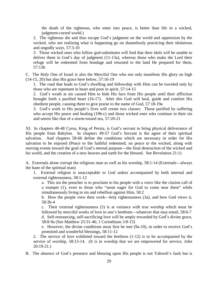the death of the righteous, who enter into peace, is better than life in a wicked, judgment-cursed world.)

2. The righteous die and thus escape God's judgment on the world and oppression by the wicked, who not realizing what is happening go on shamelessly practicing their idolatrous and ungodly ways, 57:3-10

3. Those wicked ones who follow god-substitutes will find that their idols will be unable to deliver them in God's day of judgment (11-13a), whereas those who make the Lord their refuge will be redeemed from bondage and returned to the land He prepared for them, 57:13b

C. The Holy One of Israel is also the Merciful One who not only manifests His glory on high (14-15, 20) but also His grace here below, 57:16-19

1. The road that leads to God's dwelling and fellowship with Him can be traveled only by those who are repentant in heart and poor in spirit, 57:14-15

2. God's wrath at sin caused Him to hide His face from His people until their affliction brought forth a purified heart (16-17). After this God will heal, guide and comfort His obedient people, causing them to give praise to the name of God, 57:18-19a

3. God's work in His people's lives will create two classes: Those purified by suffering who accept His peace and healing (19b-c) and those wicked ones who continue in their sin and unrest like that of a storm-tossed sea, 57:20-21

XI. In chapters 40-48 Cyrus, King of Persia, is God's servant to bring physical deliverance of His people from Babylon. In chapters 49-57 God's Servant is the agent of their spiritual salvation. And chapters 58-66 define the conditions which are necessary in order for His salvation to be enjoyed (Peace to the faithful redeemed; no peace to the wicked, along with moving events toward the goal of God's eternal purpose—the final destruction of the wicked and his world, and the creation of a new heaven and earth for the blessed. See Revelation 21:1)

A. Externals alone corrupt the religious man as well as his worship, 58:1-14 (Externals—always the bane of the spiritual man)

1. External religion is unacceptable to God unless accompanied by both internal and external righteousness, 58:1-12

a. This sin the preacher is to proclaim to his people with a voice like the clarion call of a trumpet (1), even to those who "seem eager for God to come near them" while simultaneously living in sin and rebellion against Him, 58:2

b. How the people view their work—holy righteousness (3a), and how God views it, 58:3b-4

c. Their external righteousness (5) is at variance with true worship which must be followed by merciful works of love to one's brethren—whatever that may entail, 58:6-7 d. Self-renouncing, self-sacrificing love will be amply rewarded by God's divine grace, 58:8-9a (See Matthew 25:31-46; 1 Corinthians 3:8-15)

e. However, the divine conditions must first be met (9a-10), in order to receive God's promised and wonderful blessings, 58:11-12

2. The service of love exhibited toward the brethren (1-12) is to be accompanied by the service of worship, 58:13-14. (It is in worship that we are empowered for service, John 20:19-21.)

B. The absence of God's presence and blessing upon His people is not Yahweh's fault but is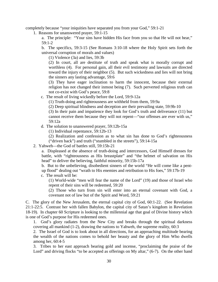completely because "your iniquities have separated you from your God," 59:1-21

1. Reasons for unanswered prayer, 59:1-15

a. The principle: "Your sins have hidden His face from you so that He will not hear," 59:1-2

b. The specifics, 59:3-15 (See Romans 3:10-18 where the Holy Spirit sets forth the universal corruption of morals and values)

(1) Violence (3a) and lies, 59:3b

(2) In court, all are destitute of truth and speak what is morally corrupt and worthless (4). For personal gain, all their evil testimony and lawsuits are directed toward the injury of their neighbor (5). But such wickedness and lies will not bring the sinners any lasting advantage, 59:6

(3) They have eager inclination to harm the innocent, because their external religion has not changed their inmost being (7). Such perverted religious truth can not co-exist with God's peace, 59:8

c. The result of living wickedly before the Lord, 59:9-12a

(1) Truth-doing and righteousness are withheld from them, 59:9a

(2) Deep spiritual blindness and deception are their prevailing state, 59:9b-10

(3) In their pain and impatience they look for God's truth and deliverance (11) but cannot receive them because they will not repent—"our offenses are ever with us," 59:12a

d. The solution to unanswered prayer, 59:12b-15a

(1) Individual repentance, 59:12b-13

(2) Realization and confession as to what sin has done to God's righteousness ("driven back") and truth ("stumbled in the streets"), 59:14-15a

2. Yahweh—the God of battles still, 59:15b-21

a. Displeased at the absence of truth-doing and intercessors, God Himself dresses for battle, with "righteousness as His breastplate" and "the helmet of salvation on His head" to deliver the believing, faithful minority, 59:15b-17a

b. But to the unbelieving, disobedient sinners of the world "He will come like a pentup flood" dealing out "wrath to His enemies and retribution to His foes," 59:17b-19

c. The result will be:

(1) World-wide "men will fear the name of the Lord" (19) and those of Israel who repent of their sins will be redeemed, 59:20

(2) Those who turn from sin will enter into an eternal covenant with God, a covenant not of law but of the Spirit and Word, 59:21

C. The glory of the New Jerusalem, the eternal capital city of God, 60:1-22. (See Revelation 21:1-22:5. Contrast her with fallen Babylon, the capital city of Satan's kingdom in Revelation 18-19). In chapter 60 Scripture is looking to the millennial age that goal of Divine history which is one of God's purpose for His redeemed ones.

1. God's glory radiates from the New City and breaks through the spiritual darkness covering all mankind (1-2), drawing the nations to Yahweh, the supreme reality, 60:3

2. The Israel of God is to look about in all directions, for an approaching multitude bearing the wealth of the nations comes to behold her beauty and the glory of Him Who dwells among her, 60:4-5

3. Tribes to her east approach bearing gold and incense, "proclaiming the praise of the Lord" and driving flocks "to be accepted as offerings on My altar," (6-7). On the other hand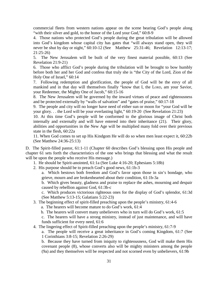commercial fleets from western nations appear on the scene bearing God's people along "with their silver and gold, to the honor of the Lord your God," 60:8-9

4. Those nations who protected God's people during the great tribulation will be allowed into God's kingdom whose capital city has gates that "will always stand open, they will never be shut by day or night," 60:10-12 (See Matthew 25:31-46; Revelation 12:13-17; 21:25-26)

5. The New Jerusalem will be built of the very finest material possible, 60:13 (See Revelation 21:9-21)

6. Those who afflict God's people during the tribulation will be brought to bow humbly before both her and her God and confess that truly she is "the City of the Lord, Zion of the Holy One of Israel," 60:14

7. Following redemption and glorification, the people of God will be the envy of all mankind and in that day will themselves finally "know that I, the LORD, am your Savior, your Redeemer, the Mighty One of Jacob," 60:15-16

8. The New Jerusalem will be governed by the inward virtues of peace and righteousness and be protected externally by "walls of salvation" and "gates of praise," 60:17-18

9. The people and city will no longer have need of either sun or moon for "your God will be your glory. . . the Lord will be your everlasting light," 60:19-20 (See Revelation 21:23)

10. At this time God's people will be conformed to the glorious image of Christ both internally and externally and will have entered into their inheritance (21). Their glory, abilities and opportunities in the New Age will be multiplied many fold over their previous state in the flesh, 60:22a

11. When God comes to set up His Kindgom He will do so when men least expect it, 60:22b (See Matthew 24:36-25:13)

D. The Spirit-filled pastor, 61:1-11 (Chapter 60 describes God's blessing upon His people and chapter 61 sets forth the characteristics of the one who brings that blessing and what the result will be upon the people who receive His message.)

- 1. He should be Spirit-anointed, 61:1a (See Luke 4:16-20; Ephesians 5:18b)
- 2. His purpose should be to preach God's good news, 61:1b-3

a. Which bestows both freedom and God's favor upon those in sin's bondage, who grieve, mourn and are brokenhearted about their condition, 61:1b-3a

b. Which gives beauty, gladness and praise to replace the ashes, mourning and despair caused by rebellion against God, 61:3b-c

c. Which produces victorious righteous ones for the display of God's splendor, 61:3d (See Matthew 5:13-15; Galatians 5:22-23)

- 3. The beginning effect of spirit-filled preaching upon the people's ministry, 61:4-6
	- a. The hearers will become mature to do God's work, 61:4
	- b. The hearers will convert many unbelievers who in turn will do God's work, 61:5

c. The hearers will have a strong ministry, instead of just maintenance, and will have funds sufficient for every need, 61:6

4. The lingering effect of Spirit-filled preaching upon the people's ministry, 61:7-9

a. The people will receive a great inheritance in God's coming Kingdom, 61:7 (See 1 Corinthians 3:8-15; Revelation 2:26-29)

b. Because they have turned from iniquity to righteousness, God will make them His covenant people (8), whose converts also will be mighty ministers among the people (9a) and they themselves will be respected and not scorned even by unbelievers, 61:9b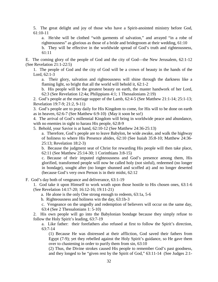5. The great delight and joy of those who have a Spirit-anointed ministry before God, 61:10-11

a. He/she will be clothed "with garments of salvation," and arrayed "in a robe of righteousness" as glorious as those of a bride and bridegroom at their wedding, 61:10

b. They will be effective in the worldwide spread of God's truth and righteousness, 61:11

E. The coming glory of the people of God and the city of God—the New Jerusalem, 62:1-12 (See Revelation 21:1-22:5)

1. The people of God and the city of God will be a crown of beauty in the hands of the Lord, 62:1-3

a. Their glory, salvation and righteousness will shine through the darkness like a flaming light, so bright that all the world will behold it, 62:1-2

b. His people will be the greatest beauty on earth, the master handwork of her Lord, 62:3 (See Revelation 12:4a; Philippians 4:1; 1 Thessalonians 2:19)

2. God's people at the marriage supper of the Lamb, 62:4-5 (See Matthew 21:1-14; 25:1-13; Revelation 19:7-9; 21:2, 9-11)

3. God's people are to pray daily for His Kingdom to come, for His will to be done on earth as in heaven, 62:6-7 (See Matthew 6:9-10) (May it soon be so!)

4. The arrival of God's millennial Kingdom will bring in worldwide peace and abundance, with no enemies in sight to harass His people, 62:8-9

5. Behold, your Savior is at hand, 62:10-12 (See Matthew 24:36-25:13)

a. Therefore, God's people are to leave Babylon, be wide awake, and walk the highway of holiness to where His Presence abides, 62:10 (See Isaiah 35:8-10; Matthew 24:36- 25:13; Revelation 18:2-3)

b. Because the judgment seat of Christ for rewarding His people will then take place, 62:11 (See Matthew 25:14-30; 1 Corinthians 3:8-15)

c. Because of their imputed righteousness and God's presence among them, His glorified, transformed people will now be called holy (not sinful), redeemed (no longer in bondage), sought after (no longer shunned and scoffed at) and no longer deserted (because God's very own Person is in their midst, 62:12

F. God's day both of vengeance and deliverance, 63:1-19

1. God take it upon Himself to work wrath upon those hostile to His chosen ones, 63:1-6 (See Revelation 14:17-20; 16:12-16; 19:11-21)

a. He alone is the only One strong enough to redeem, 63:1a, 5-6

b. Righteousness and holiness win the day, 63:1b-3

c. Vengeance on the ungodly and redemption of believers will occur on the same day, 63:4 (See 2 Thessalonians 1: 5-10)

2. His own people will go into the Babylonian bondage because they simply refuse to follow the Holy Spirit's leading, 63:7-19

a. Like father: their forefathers also refused at first to follow the Spirit's direction, 63:7-14

(1) Because He was distressed at their affliction, God saved their fathers from Egypt (7-9); yet they rebelled against the Holy Spirit's guidance, so He gave them over to chastening in order to purify them from sin, 63:10

(2) Thus, the Divine strokes caused His people to remember God's past goodness, and they longed to be "given rest by the Spirit of God," 63:11-14 (See Judges 2:1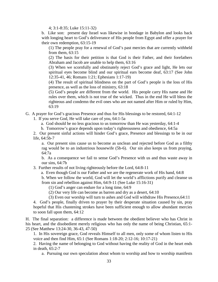4; 3:1-8:35; Luke 15:11-32)

b. Like son: present day Israel was likewise in bondage in Babylon and looks back with longing heart to God's deliverance of His people from Egypt and offer a prayer for their own redemption, 63:15-19

(1) The people pray for a renewal of God's past mercies that are currently withheld from them, 63:15

(2) The basis for their petition is that God is their Father, and their forefathers Abraham and Jacob are unable to help them, 63:16

(3) When we scornfully and obstinately reject God's grace and light, He lets our spiritual eyes become blind and our spiritual ears become deaf, 63:17 (See John 12:35-41, 46; Romans 1:21; Ephesians 1:17-19)

(4) The result of spiritual blindness on the part of God's people is the loss of His presence, as well as the loss of ministry, 63:18

(5) God's people are different from the world. His people carry His name and He rules over them, which is not true of the wicked. Thus in the end He will bless the righteous and condemn the evil ones who are not named after Him or ruled by Him, 63:19

G. A prayer for God's gracious Presence and thus for His blessings to be restored, 64:1-12

1. If you serve God, He will take care of you, 64:1-5a

a. God should be no less gracious to us tomorrow than He was yesterday, 64:1-4

b. Tomorrow's grace depends upon today's righteousness and obedience, 64:5a

2. Our present sinful actions will hinder God's grace, Presence and blessings to be in our life, 64:5b-7

a. Our present sins cause us to become as unclean and rejected before God as a filthy rag would be to an industrious housewife (5b-6). Our sin also keeps us from praying, 64:7a

b. As a consequence we fail to sense God's Presence with us and thus waste away in our sins, 64:7b

3. Further results of not living righteously before the Lord, 64:8-11

a. Even though God is our Father and we are the regenerate work of His hand, 64:8

b. When we follow the world, God will let the world's afflictions purify and cleanse us from sin and rebellion against Him, 64:9-11 (See Luke 15:16-31)

(1) God's anger can endure for a long time, 64:9

(2) Our very life can become as barren and dry as a desert, 64:10

(3) Even our worship will turn to ashes and God will withdraw His Presence,64:11

4. God's people, finally driven to prayer by their desperate situation caused by sin, pray hopeful that His chastening strokes have been sufficient enough to allow abundant mercies to soon fall upon them, 64:12

H. The final separation: a difference is made between the obedient believer who has Christ in his heart, and the disobedient merely religious who has only the name of being Christian, 65:1- 25 (See Matthew 13:24-30, 36-43, 47-50)

1. In His sovereign grace, God reveals Himself to all men, only some of whom listen to His voice and then find Him, 65:1 (See Romans 1:18-20; 2:12-16; 10:17-21)

2. Having the name of belonging to God without having the reality of God in the heart ends in death, 65:2-7

a. Pursuing our own speculation about whom to worship and how to worship manifests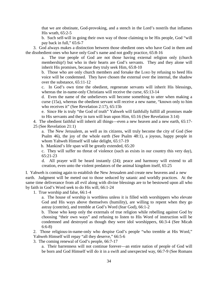that we are obstinate, God-provoking, and a stench in the Lord's nostrils that inflames His wrath, 65:2-5

b. Such self-will in going their own way of those claiming to be His people, God "will pay back in full," 65:6-7

 3. God always makes a distinction between those obedient ones who have God in them and the disobedient ones who have only God's name and not godly practice, 65:8-16

a. The true people of God are not those having external religion only (church membership!) but who in their hearts are God's servants. They and they alone will inherit His promises, because they truly seek Him, 65:8-10

b. Those who are only church members and forsake the LORD by refusing to heed His voice will be condemned. They have chosen the external over the internal, the shadow over the substance, 65:11-12

c. In God's own time the obedient, regenerate servants will inherit His blessings, whereas the in-name-only Christians will receive the curse, 65:13-14

d. Even the name of the unbelievers will become something to utter when making a curse (15a), whereas the obedient servant will receive a new name, "known only to him who receives it" (See Revelation 2:17), 65:15b

e. Since He is truly "the God of truth" Yahweh will faithfully fulfill all promises made to His servants and they in turn will lean upon Him, 65:16 (See Revelation 3:14)

4. The obedient faithful will inherit all things—even a new heaven and a new earth, 65:17- 25 (See Revelation 21:1)

a. The New Jerusalem, as well as its citizens, will truly become the city of God (See Psalm 46), the joy of the whole earth (See Psalm 48:1), a joyous, happy people in whom Yahweh Himself will take delight, 65:17-19

b. Mankind's life span will be greatly extended, 65:20

c. They will suffer no threat of violence (such as exists in our country this very day), 65:21-23

d. All prayer will be heard instantly (24); peace and harmony will extend to all creation, even unto the violent predators of the animal kingdom itself, 65:25

I. Yahweh is coming again to establish the New Jerusalem and create new heavens and a new earth. Judgment will be meted out to those seduced by satanic and worldly practices. At the same time deliverance from all evil along with divine blessings are to be bestowed upon all who by faith in God's Word seek to do His will, 66:1-24

1. True worship and false, 66:1-4

a. The house of worship is worthless unless it is filled with worshippers who elevate God and His ways above themselves (humility), are willing to repent when they go astray (contrite), and tremble at God's Word (fear God), 66:1-2

b. Those who keep only the externals of true religion while rebelling against God by choosing "their own ways" and refusing to listen to His Word of instruction will be condemned and destroyed as though they were idol worshippers, 66:3-4 (See Micah 6:6-8)

2. Those religious-in-name-only who despise God's people "who tremble at His Word," Yahweh Himself will repay "all they deserve," 66:5-6

3. The coming renewal of God's people, 66:7-17

a. Their barrenness will not continue forever—an entire nation of people of God will be born and God Himself will do it in a swift and unexpected way, 66:7-9 (See Romans